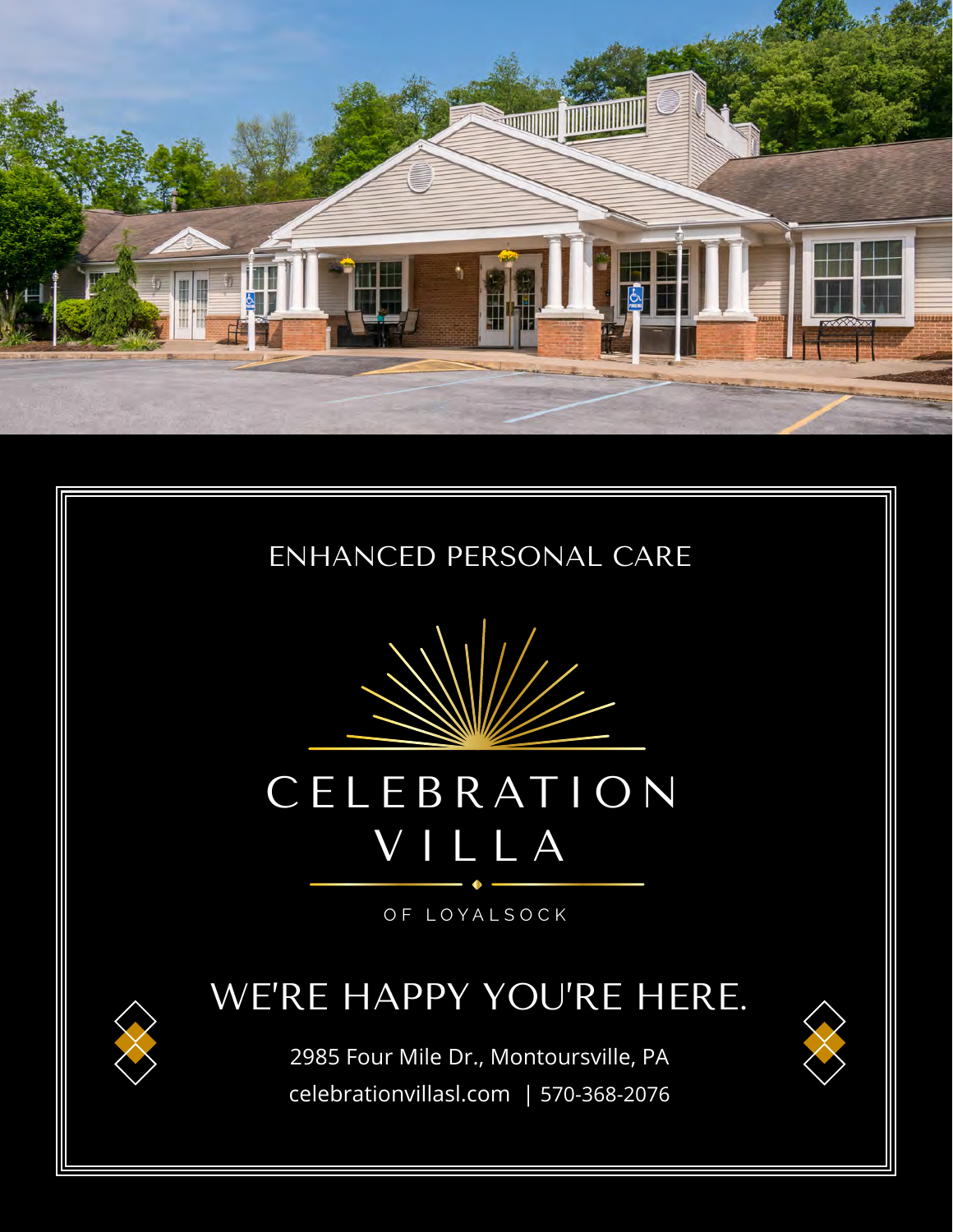





# CELEB RAT ION VILLA

OF LOYALSOCK

### WE'RE HAPPY YOU'RE HERE.

2985 Four Mile Dr., Montoursville, PA celebrationvillasl.com | 570-368-2076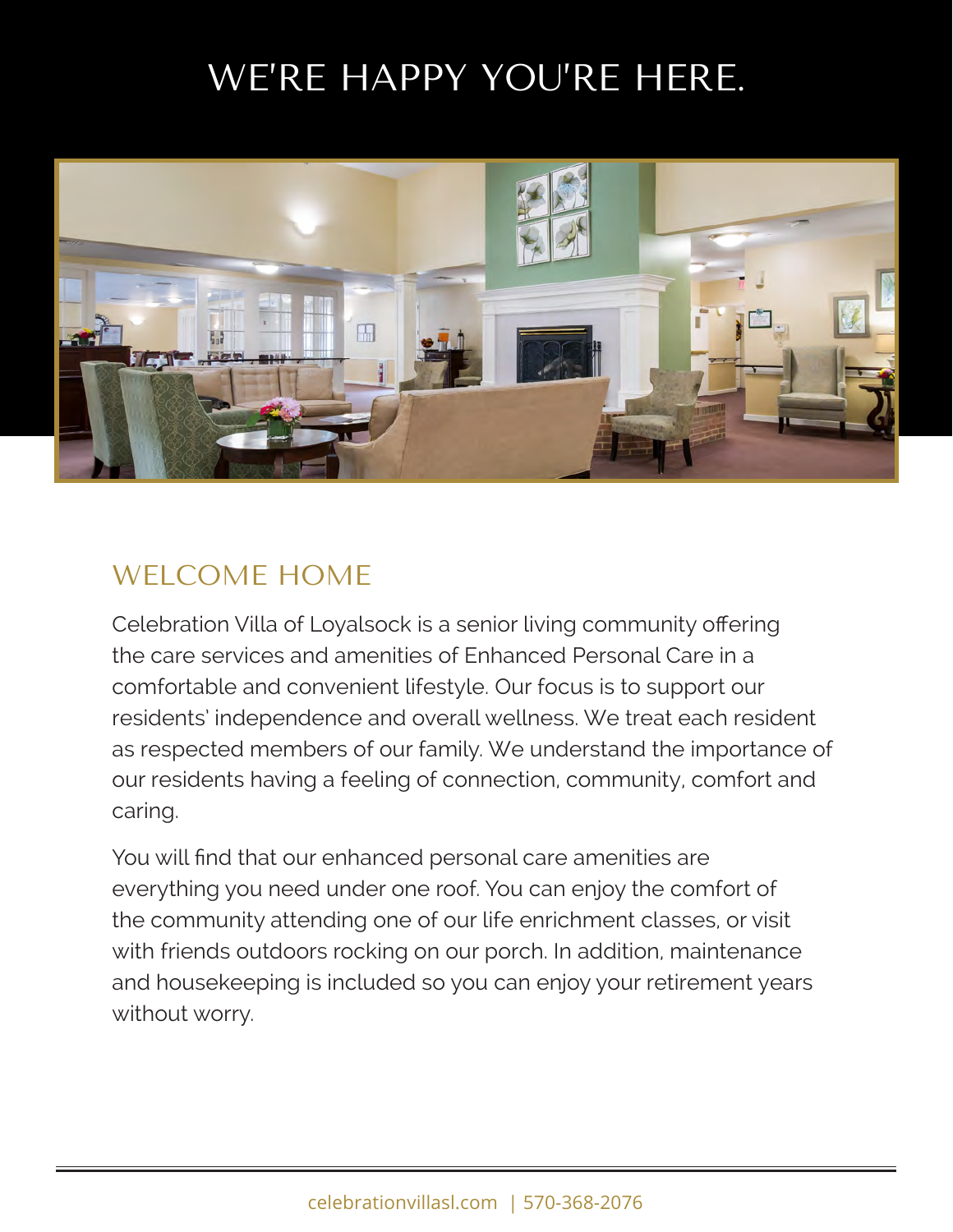## WE'RE HAPPY YOU'RE HERE.



#### WELCOME HOME

Celebration Villa of Loyalsock is a senior living community offering the care services and amenities of Enhanced Personal Care in a comfortable and convenient lifestyle. Our focus is to support our residents' independence and overall wellness. We treat each resident as respected members of our family. We understand the importance of our residents having a feeling of connection, community, comfort and caring.

You will find that our enhanced personal care amenities are everything you need under one roof. You can enjoy the comfort of the community attending one of our life enrichment classes, or visit with friends outdoors rocking on our porch. In addition, maintenance and housekeeping is included so you can enjoy your retirement years without worry.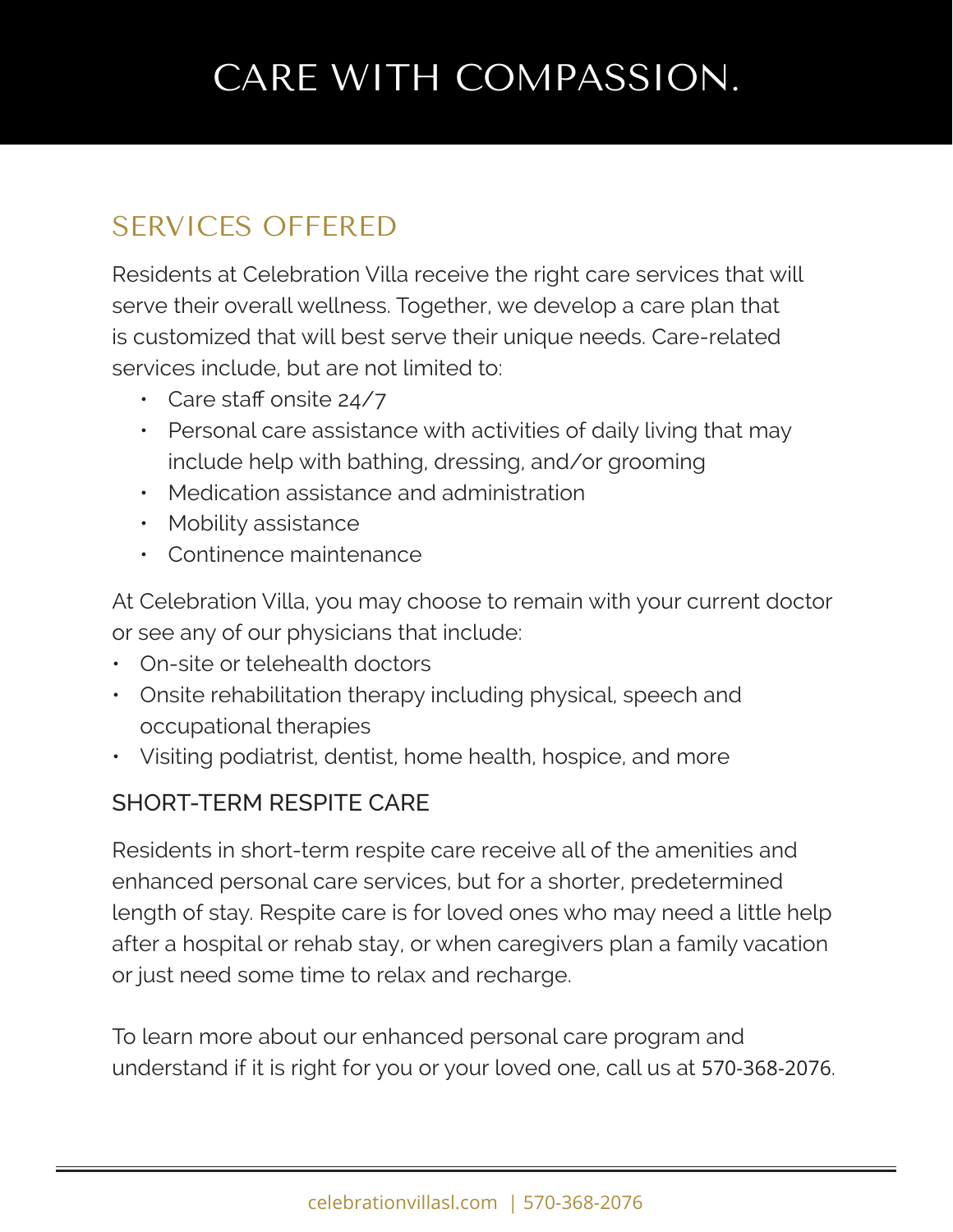## CARE WITH COMPASSION.

### SERVICES OFFERED

Residents at Celebration Villa receive the right care services that will serve their overall wellness. Together, we develop a care plan that is customized that will best serve their unique needs. Care-related services include, but are not limited to:

- Care staff onsite 24/7
- Personal care assistance with activities of daily living that may include help with bathing, dressing, and/or grooming
- Medication assistance and administration
- Mobility assistance
- Continence maintenance

At Celebration Villa, you may choose to remain with your current doctor or see any of our physicians that include:

- On-site or telehealth doctors
- Onsite rehabilitation therapy including physical, speech and occupational therapies
- Visiting podiatrist, dentist, home health, hospice, and more

#### SHORT-TERM RESPITE CARE

Residents in short-term respite care receive all of the amenities and enhanced personal care services, but for a shorter, predetermined length of stay. Respite care is for loved ones who may need a little help after a hospital or rehab stay, or when caregivers plan a family vacation or just need some time to relax and recharge.

To learn more about our enhanced personal care program and understand if it is right for you or your loved one, call us at 570-368-2076.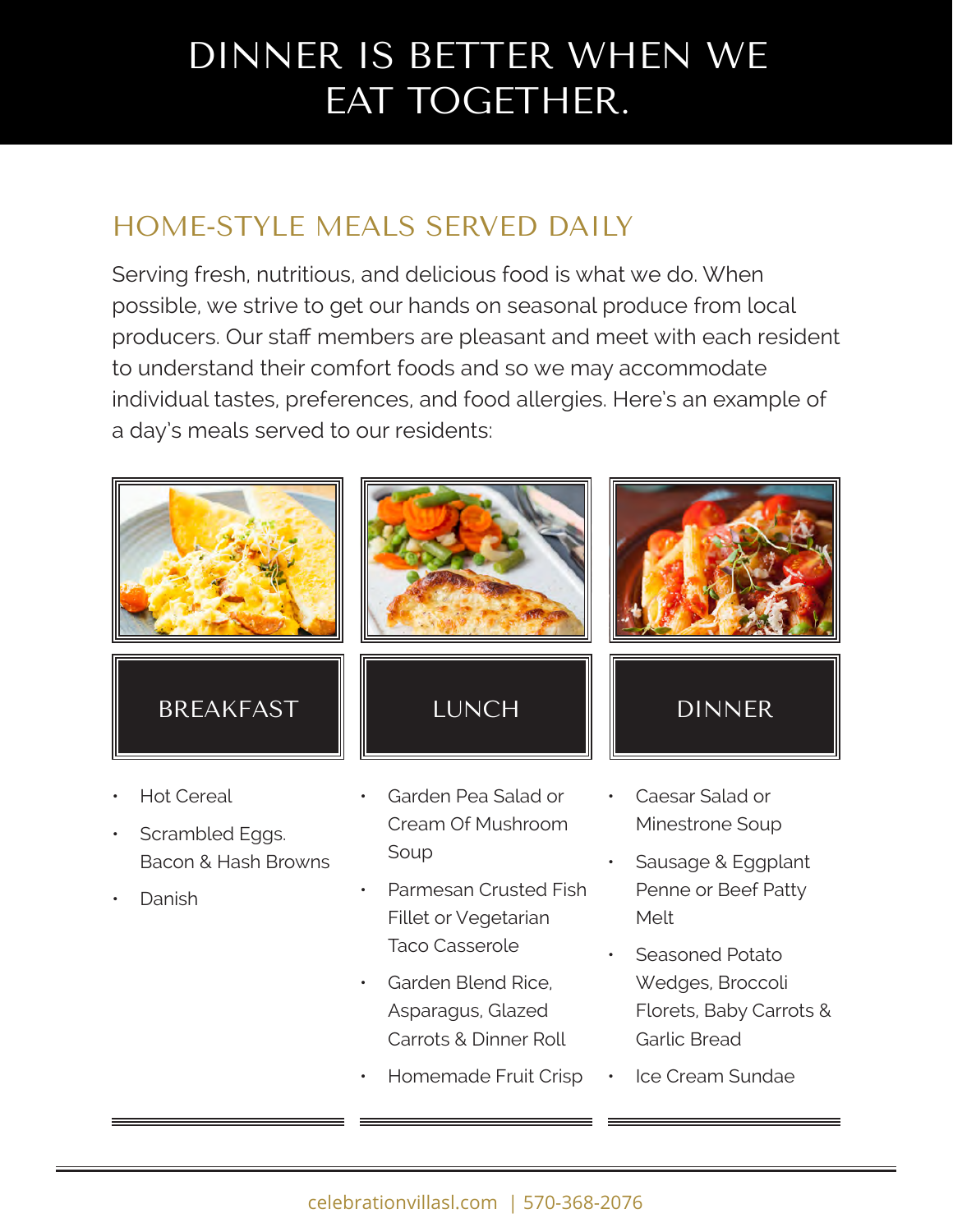## DINNER IS BETTER WHEN WE EAT TOGETHER.

### HOME-STYLE MEALS SERVED DAILY

Serving fresh, nutritious, and delicious food is what we do. When possible, we strive to get our hands on seasonal produce from local producers. Our staff members are pleasant and meet with each resident to understand their comfort foods and so we may accommodate individual tastes, preferences, and food allergies. Here's an example of a day's meals served to our residents:



- Scrambled Eggs. Bacon & Hash Browns
- Danish

Cream Of Mushroom Soup

- Parmesan Crusted Fish Fillet or Vegetarian Taco Casserole
- Garden Blend Rice, Asparagus, Glazed Carrots & Dinner Roll
- Homemade Fruit Crisp
- Minestrone Soup
- Sausage & Eggplant Penne or Beef Patty Melt
- Seasoned Potato Wedges, Broccoli Florets, Baby Carrots & Garlic Bread
- Ice Cream Sundae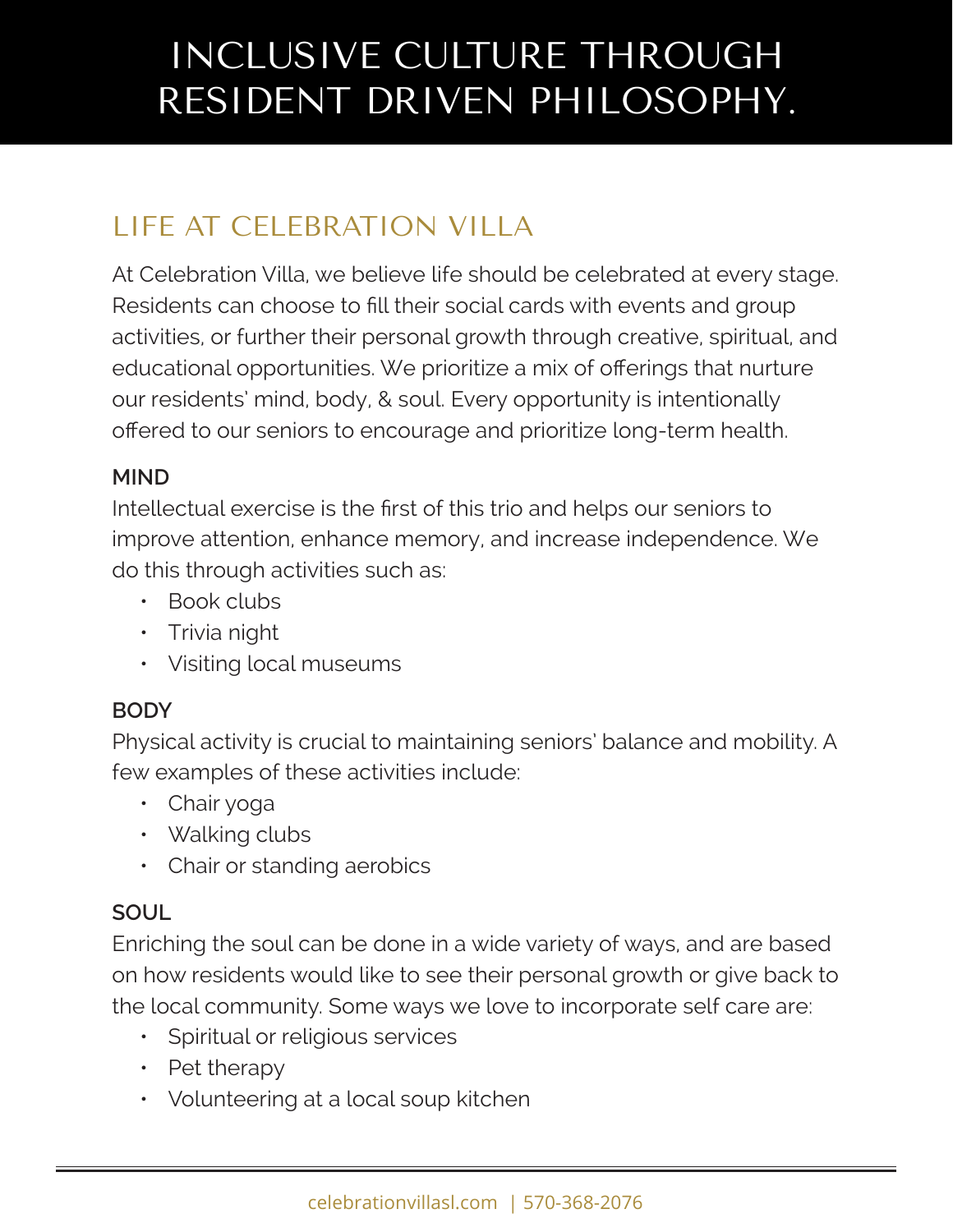## INCLUSIVE CULTURE THROUGH RESIDENT DRIVEN PHILOSOPHY.

### LIFE AT CELEBRATION VILLA

At Celebration Villa, we believe life should be celebrated at every stage. Residents can choose to fill their social cards with events and group activities, or further their personal growth through creative, spiritual, and educational opportunities. We prioritize a mix of offerings that nurture our residents' mind, body, & soul. Every opportunity is intentionally offered to our seniors to encourage and prioritize long-term health.

#### **MIND**

Intellectual exercise is the first of this trio and helps our seniors to improve attention, enhance memory, and increase independence. We do this through activities such as:

- Book clubs
- Trivia night
- Visiting local museums

#### **BODY**

Physical activity is crucial to maintaining seniors' balance and mobility. A few examples of these activities include:

- Chair yoga
- Walking clubs
- Chair or standing aerobics

#### **SOUL**

Enriching the soul can be done in a wide variety of ways, and are based on how residents would like to see their personal growth or give back to the local community. Some ways we love to incorporate self care are:

- Spiritual or religious services
- Pet therapy
- Volunteering at a local soup kitchen